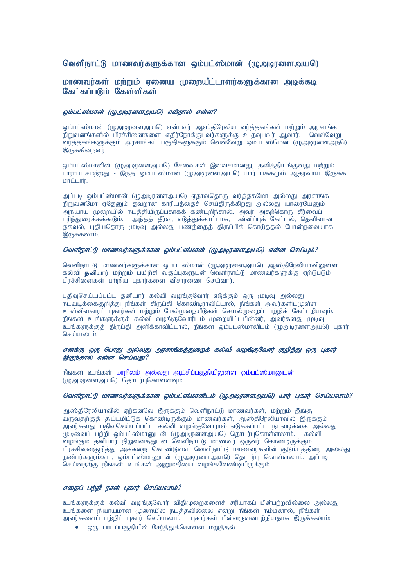# வெளிநாட்டு மாணவர்களுக்கான ஒம்பட்ஸ்மான் (முஅடிரனளஅயடு)

# மாணவர்கள் மற்றும் எனைய முறையீட்டாளர்களுக்கான அடிக்கடி கேட்கப்படும் கேள்விகள்

## லம்பட்ஸ்மான் (முஅடிரனளஅயடு) என்றால் என்ன?

லம்பட்ஸ்மான் (மு.அமானளஅயுடு) என்பவர் ஆஸ்கிரேலிய வர்க்ககங்கள் மற்றும் அரசாங்க நிறுவனங்களில் பிரச்சினைகளை எதிர்நோக்குபவர்களுக்கு உதவுபவர் ஆவார். வெவ்வேறு .<br>வர்க்ககங்களுக்கும் அரசாங்கப் பகுதிகளுக்கும் வெவ்வேறு லம்பட்ஸ்மென் (முஅடிரனளஅந**ெ**) இருக்கின்றனர்.

ஒம்பட்ஸ்மானின் (ழுஅடிரனளஅய**ெ) சேவைகள் இலவசமானது, தனித்தியங்குவது** மற்றும் பாராபட்சமற்றது - இந்த வம்பட்ஸ்மான் (முஅமானாஅயடு) யார் பக்கமும் ஆதாவாய் இருக்க  $\lim_{n \to \infty}$ .

அப்புடி லம்பட்ஸ்மான் (முஅமானளஅயுடு) எதாவுதொரு வர்க்ககமோ அல்லது அரசாங்க நிறுவனமோ ஏதேனும் தவறான காரியத்தைச் செய்திருக்கிறது. அல்லது யாரையேனும் .<br>அநியாய முறையில் நடத்தியிருப்பதாகக் கண்டறிந்தால், அவர் அதற்கொரு தீர்வைப் பரிந்துரைக்கக்கூடும். அந்தத் தீர்வு, எடுத்துக்காட்டாக, மன்னிப்புக் கேட்டல், தெளிவான தகவல், புதியதொரு முடிவு அல்லது பணத்தைத் திருப்பிக் கொடுத்தல் போன்றவையாக  $\mathbf{\mathsf{Q}}$ ருக்கலாம்.

### லெளிநாட்டு மாணவர்களுக்கான ஒம்பட்ஸ்மான் (முஅடிரனளஅயடு) என்ன செய்யும்?

வெளிநாட்டு மாணவர்களுக்கான ஒம்பட்ஸ்மான் (ழுஅடிரனளஅயடு) ஆஸ்திரேலியாவிலுள்ள கல்வி **தனியார்** மற்றும் பயிற்சி வகுப்புகளுடன் வெளிநாட்டு மாணவர்களுக்கு ஏற்டுபடும் பிரச்சினைகள் பற்றிய புகார்களை விசாரணை செய்வார்.

பதிவுசெய்யப்பட்ட தனியார் கல்வி வழங்குவோர் எடுக்கும் ஒரு முடிவு அல்லது நடவடிக்கைகுறிக்கு நீங்கள் கிருப்கி கொண்டிராவிட்டால், நீங்கள் அவர்களிடமுள்ள .<br>உள்விவகாரப் பகார்கள் மற்றும் மேல்முறையீடுகள் செயல்முறைப் பற்றிக் கேட்டறியவும். நீங்கள் உங்களுக்குக் கல்வி வழங்குவோரிடம் முறையிட்டபின்னர், அவர்களது முடிவு .<br>உங்களுக்குத் திருப்தி அளிக்காவிட்டால், நீங்கள் வம்பட்ஸ்மானிடம் (மு.அழானள.அயடு) புகார் செய்யலாம்.

## எனக்கு ஒரு பொது அல்லது அரசாங்கத்துறைக் கல்வி வழங்குவோர் குறித்து ஒரு புகார் இருந்தால் என்ன செய்வது?

நீங்கள் உங்கள் <mark>மாநிலம் அல்லது ஆட்சிப்பகுதியிலுள்ள ஒம்பட்ஸ்மானுடன்</mark> .<br>(முஅடிரனளஅயடு) தொடர்புகொள்ளவும்.

## வெளிநாட்டு மாணவர்களுக்கான வம்பட்ஸ்மானிடம் (மு.அமானள.அயடு) யார் பகார் செய்யலாம்?

அஸ்திரேலியாவில் ஏர்கனவே இருக்கும் வெளிநாட்டு மாணவர்கள், மர்றும் இங்கு வருவதற்குத் திட்டமிட்டுக் கொண்டிருக்கும் மாணவர்கள், ஆஸ்திரேலியாவில் இருக்கும் அவர்களது பதிவுசெய்யப்பட்ட கல்வி வழங்குவோரால் எடுக்கப்பட்ட நடவடிக்கை அல்லது.  $\widetilde{\mathcal{G}}$ முறைவப் பற்றி ஒம்பட்ஸ்மானுடன் (முஅடிரனளஅய்ெ) தொடர்புகொள்ளலாம். கல்வி ்வழங்கும் தனியார் நிறுவனத்துடன் வெளிநாட்டு மாணவர் ஒருவர் கொண்டிருக்கும் பிரச்சினைகுறித்து அக்கறை கொண்டுள்ள வெளிநாட்டு மாணவர்களின் குடும்பத்தினர் அல்லது .<br>நண்பர்களும்கூட, ஒம்பட்ஸ்மானுடன் (ழுஅடிரனளஅயடு) தொடர்பு கொள்ளலாம். அப்படி  $\overline{0}$ செய்வதற்கு நீங்கள் உங்கள் அனுமதியை வழங்கவேண்டியிருக்கும்.

## எதைப் பற்றி நான் புகார் செய்யலாம்?

உங்களுக்குக் கல்வி வமங்குவோர் விகிமுறைகளைச் சரியாகப் பின்பற்றவில்லை அல்லது உங்களை நியாயமான முறையில் நடத்தவில்லை என்று நீங்கள் நம்பினால், நீங்கள் அவர்களைப் பற்றிப் புகார் செய்யலாம். புகார்கள் பின்வருவனபற்றியதாக இருக்கலாம்:

• ஒரு பாடப்பகுதியில் சேர்த்துக்கொள்ள மறுத்தல்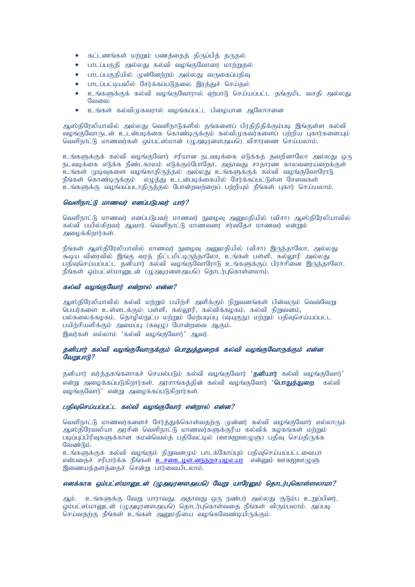- $\bullet$  கட்டணங்கள் மற்றும் பணத்தைத் திருப்பித் தருதல்
- பாடப்பகுதி அல்லது கல்வி வழங்குவோரை மாற்றுதல்
- பாடப்பகுதியில் முன்னேற்றம் அல்லது வருகைப்பதிவு
- பாடப்பட்டியலில் சேர்க்கப்படுதலை இரக்குச் செய்தல்
- உங்களுக்குக் கல்வி வழங்குவோரால் ஏற்பாடு செய்யப்பட்ட தங்குமிட வசகி அல்லது வேலை
- உங்கள் கல்விமுகவரால் வழங்கப்பட்ட பிழையான ஆலோசனை

ஆஸ்திரேலியாவில் அல்லது வெளிநாடுகளில் தங்களைப் பிரதிநிதிக்கும்படி இங்குள்ள கல்வி ்வழங்குவோருடன் உடன்படிக்கை கொண்டிருக்கும் கல்விமுகவர்களைப் பற்றிய புகார்களையும் வெளிநாட்டு மாணவர்கள் வம்பட்ஸ்மான் (மு.அமானளஅயுடு) விசாாணை செய்யலாம்.

உங்களுக்குக் கல்வி வழங்குவோர் சரியான நடவடிக்கை எடுக்கத் தவறினாலோ அல்லது ஒரு .<br>நடவடிக்கை எடுக்க நீண்டகாலம் எடுக்கும்போதோ, அதாவது சாதாரண காலவரையரைக்குள் .<br>உங்கள் முடிவுகளை வழங்காதிருத்தல் அல்லது உங்களுக்குக் கல்வி வழங்குவோரோடு நீங்கள் கொண்டிருக்கும் எழுத்து உடன்படிக்கையில் சேர்க்கப்பட்டுள்ள சேவைகள் .<br>உங்களுக்கு வழங்கப்படாதிருத்தல் போன்றவற்றைப் பற்றியும் நீங்கள் புகார் செய்யலாம்.

## வெளிநாட்டு மாணவர் எனப்படுபவர் யார்?

வெளிநாட்டு மாணவர் எனப்படுபவர் மாணவர் நுழைவு அனுமதியில் (விசா) ஆஸ்திரேலியாவில் கல்வி பயில்கிறவர் ஆவார். வெளிநாட்டு மாணவரை சர்வதேச மாணவர் என்றும் அமைக்கிறார்கள்.

நீங்கள் ஆஸ்திரேலியாவில் மாணவர் நுழைவு அனுமதியில் (விசா) இருந்தாலோ, அல்லது .<br>கூடிய விரைவில் இங்கு வாக் கிட்டமிட்டிருந்காலோ, உங்கள் பள்ளி, கல்லாரி அல்லது பதிவுசெய்யப்பட்ட கனியார் 'கல்வி வமங்குவோரோடு உங்களுக்குப் பிரச்சினை இருந்தாலோ. நீங்கள் ஒம்பட்ஸ்மானுடன் (ழுஅடிரனளஅயடு) தொடர்புகொள்ளலாம்.

#### $\bm{x}$ ல்வி வமங்குவோர் என்றால் என்ன?

அஸ்திரேலியாவில் கல்வி ம<u>ற்று</u>ம் பயிற்சி அளிக்கும் நிறுவனங்கள் பின்வரும் வெவ்வேறு ்பெயர்களை உள்ளடக்கும்: பள்ளி, கல்லூரி, கல்விக்கழகம், கல்வி நிறுவனம், பல்கலைக்கழகம், தொழில்நுட்ப மற்றும் மேற்படிப்பு (வுயுகுநு) மற்றும் பதிவுசெய்யப்பட்ட பயிற்சியளிக்கும் அமைப்பு (சுவுழு) போன்றவை ஆகும். இவர்கள் எல்லாம் 'கல்வி வமங்குவோர்' அவர்.

## தனியார் கல்வி வழங்குவோருக்கும் பொதுத்துறைக் கல்வி வழங்குவோருக்கும் என்ன  $G$ *QQ* $\Omega$ *IIIIIIII* $R$ ?

தனியார் வர்த்தகங்களாகச் செயல்படும் கல்வி வமங்குவோர் '**தனியார்** கல்வி வமங்குவோர்' என்று அழைக்கப்படுகிறார்கள். அரசாங்கத்தின் கல்வி வழங்குவோர் **'பொதுத்துறை** கல்வி வழங்குவோர்' என்று அமைக்கப்படுகிறார்கள்.

#### பதிவுசெய்யப்பட்ட கல்வி வழங்குவோர் என்றால் என்ன?

வெளிநாட்டு மாணவர்களைச் சேர்த்துக்கொள்வதற்கு முன்னர் கல்வி வழங்குவோர் எல்லாரும் ஆஸ்திரேவலியா அரசின் வெளிநாட்டு மாணவர்களுக்குரிய கல்விக் கழகங்கள் மற்றும் படிப்புப்பிரிவுகளுக்கான கமன்வெல்த் பதிவேட்டில் (ஊசுஐஊழுளு) பதிவு செய்திருக்க வேண்டும்.

உங்களுக்குக் கல்வி வழங்கும் நிறுவனமும் பாடக்கோப்பும் பதிவுசெய்யப்பட்டவையா என்பதைச் சரிபார்க்க நீங்கள் <mark>உச்உை ழள.னநநறச.பழஎ.யா</mark> என்னும் ஊசுஐஊழுளு இணையத்தளத்தைச் சென்று பார்வையிடலாம்.

## எனக்காக ஒம்பட்ஸ்மானுடன் (ழுஅடிரனளஅயடு) வேறு யாரேனும் தொடர்புகொள்ளலாமா?

ஆம். உங்களுக்கு வேறு யாராவது, அதாவது ஒரு நண்பர் அல்லது குடும்ப உறுப்பினர், ஒம்பட்ஸ்மானுடன் (ழுஅடிரனளஅயடு) தொடர்புகொள்வதை நீங்கள் விரும்பலாம். அப்படி செய்வதற்கு நீங்கள் உங்கள் அனுமதியை வழங்கவேண்டியிருக்கும்.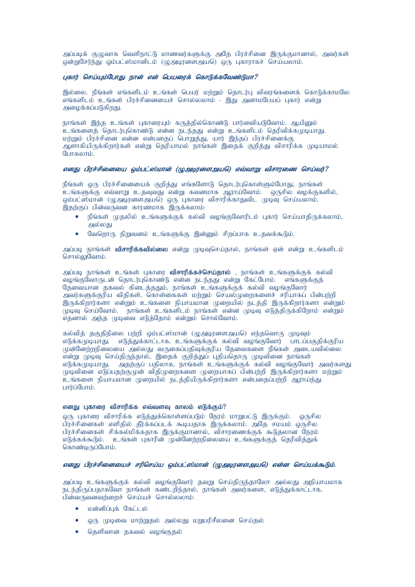அப்படிக் குழுவாக வெளிநாட்டு மாணவர்களுக்கு அதே பிரச்சினை இருக்குமானால், அவர்கள் ஒன்றுசேர்ந்து ஒம்பட்ஸ்மானிடம் (ழுஅடிரனளஅயடு) ஒரு புகாராகச் செய்யலாம்.

## புகார் செய்யும்போது நான் என் பெயரைக் கொடுக்கவேண்டுமா?

இல்லை, நீங்கள் எங்களிடம் உங்கள் பெயர் மற்றும் தொடர்பு விவரங்களைக் கொடுக்காமலே எங்களிடம் உங்கள் பிரச்சினையைச் சொல்லலாம் - இது அனாமபேயப் புகார் என்று அமைக்கப்படுகிறது.

நாங்கள் இந்த உங்கள் புகாரையும் கருத்தில்கொண்டு பார்வைியடுவோம். ஆயினும் .<br>உங்களைத் தொடர்புகொண்டு என்ன நடந்தது என்று உங்களிடம் தெரிவிக்கமுடியாது. மற்றும் பிரச்சினை என்ன என்பதைப் பொறுத்து, யார் இந்தப் பிரச்சினைக்கு ஆ்ளாகியிருக்கிறார்கள் என்று தெரியாமல் நாங்கள் இதைக் குறித்து விசாரிக்க முடியாமல் போகலாம். $\overline{\phantom{a}}$ 

#### எனது பிரச்சினையை ஒம்பட்ஸ்மான் (ழுஅழரனளஅயசு) எவ்வாறு விசாரணை செய்வர்?

நீங்கள் ஒரு பிரச்சினையைக் குறித்து எங்களோடு தொடர்புகொள்ளும்போது, நாங்கள் .<br>உங்களுக்கு எவ்வாறு உதவுவது என்று கவனமாக ஆராய்வோம். ஒருசில வழக்குகளில், ஒம்பட்ஸ்மான் (ழுஅடிரனள்அயடு) ஒரு புகாரை விசாரிக்காதுவிட முடிவு செய்யலாம். இதற்குப் பின்வருவன காரணமாக இருக்கலாம்:

- நீங்கள் முதலில் உங்களுக்குக் கல்வி வழங்குவோரிடம் புகார் செய்யாதிருக்கலாம், அல்லது
- வேறொரு நிறுவனம் உங்களுக்கு இன்னும் சிறப்பாக உதவக்கூடும்.

அப்படி நாங்கள் **விசாரிக்கவில்லை** என்று முடிவுசெய்தால், நாங்கள் என் என்று உங்களிடம் சொல்ல $\mathcal G$ வாம்.

அப்படி நாங்கள் உங்கள் புகாரை **விசாரிக்கச்செய்தால்** , நாங்கள் உங்களுக்குக் கல்வி வழங்குவோருடன் தொடர்புகொண்டு என்ன நடந்தது என்று கேட்போம். எங்களுக்குத் தேவையான தகவல் கிடைத்ததும், நாங்கள் உங்களுக்குக் கல்வி வழங்குவோர் அவர்களுக்குரிய விதிகள், கொள்கைகள் மற்றும் செயல்முறைகளைச் சரியாகப் பின்பற்றி .<br>இருக்கிறார்களா என்றும் உங்களை நியாயமான முறையில் நடத்தி இருக்கிறார்களா என்றும் ்பூடிவு செய்வோம். நாங்கள் உங்களிடம் நாங்கள் என்ன முடிவு எடுத்திருக்கிறோம் என்றும் எதனால் அந்த முடிவை எடுத்தோம் என்றும் சொல்வோம்.

கல்வித் தகுதிநிலை பற்றி ஒம்பட்ஸ்மான் (முஅடிரனளஅயடு) எந்தவொரு முடிவும் எடுக்கமுடியாது. எடுத்துக்காட்டாக, உங்களுக்குக் கல்வி வழங்குவோர் பாடப்பகுதிக்குரிய முன்னேற்றநிலையை அல்லது வருகைப்பதிவுக்குரிய தேவைகளை நீங்கள் அடையவில்லை  $\sim$ என்று முடிவு செய்திருந்தால், இதைக் குறித்துப் புதியதொரு முடிவினை நாங்கள் எடுக்கமுடியாது. அதற்குப் பதிலாக, நாங்கள் உங்களுக்குக் கல்வி வழங்குவோர் அவர்களது  $\mu$ முவினை எடுப்பதற்கு $\mu$ ன் விதி $\mu$ றைகளை முறையாகப் பின்பற்றி இருக்கிறார்களா மற்றும் ் ந்களை நியாயமான முறையில் நடக்கியிருக்கிறார்களா என்பதைப்பற்றி அராய்ந்து umin'i Gumib.

#### எனது புகாரை விசாரிக்க எவ்வளவு காலம் எடுக்கும்?

லரு புகாரை விசாரிக்க எடுத்துக்கொள்ளப்படும் நேரம் மாறுபட்டு இருக்கும். லருசில பிரச்சினைகள் எளிதில் தீர்க்கப்படக் கூடியதாக இருக்கலாம். அதே சமயம் ஒருசில பிரச்சினைகள் சிக்கல்மிக்கதாக இருக்குமானால், விசாரணைக்குக் கூடுதலான நேரம் எடுக்கக்கூடும். உங்கள் புகாரின் முன்னேற்றநிலையை உங்களுக்குக் தெரிவிக்குக் கொண்டிருப்போம்.

## எனது பிரச்சினையைச் சரிசெய்ய ஒம்பட்ஸ்மான் (ழுஅடிரனளஅயசெ) என்ன செய்யக்கூடும்.

அப்படி உங்களுக்குக் கல்வி வழங்குவோர் தவறு செய்திருந்தாலோ அல்லது அநியாயமாக நடந்திருப்பதாகவோ நாங்கள் கண்டறிந்தால், நாங்கள் அவர்களை, எடுத்துக்காட்டாக, பின்வருவனவற்றைச் செய்யச் சொல்லலாம்:

- மன்னிப்பக் கேட்டல்
- ஒரு முடிவை மாற்றுதல் அல்லது மறுபரிசீலனை செய்தல்
- தெளிவான தகவல் வழங்குதல்